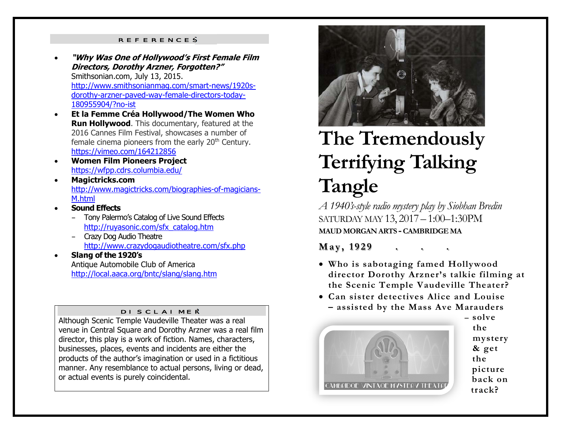#### REFERENCES

- 0 **"Why Was One of Hollywood's First Female Film Directors, Dorothy Arzner, Forgotten?"** Smithsonian.com, July 13, 2015. http://www.smithsonianmag.com/smart-news/1920sdorothy-arzner-paved-way-female-directors-today-180955904/?no-ist
- **Et la Femme Créa Hollywood/The Women Who Run Hollywood**. This documentary, featured at the 2016 Cannes Film Festival, showcases a number of female cinema pioneers from the early 20<sup>th</sup> Century. https://vimeo.com/164212856
- $\bullet$  **Women Film Pioneers Project** https://wfpp.cdrs.columbia.edu/
- $\bullet$  **Magictricks.com**  http://www.magictricks.com/biographies-of-magicians-M.html
- 0 **Sound Effects**
	- Tony Palermo's Catalog of Live Sound Effects http://ruyasonic.com/sfx\_catalog.htm
	- Crazy Dog Audio Theatre http://www.crazydogaudiotheatre.com/sfx.php
- 0 **Slang of the 1920's**  Antique Automobile Club of America http://local.aaca.org/bntc/slang/slang.htm

#### DISCLAIMER

Although Scenic Temple Vaudeville Theater was a real venue in Central Square and Dorothy Arzner was a real film director, this play is a work of fiction. Names, characters, businesses, places, events and incidents are either the products of the author's imagination or used in a fictitious manner. Any resemblance to actual persons, living or dead, or actual events is purely coincidental.



# **The Tremendously Terrifying Talking Tangle**

*A 1940's-style radio mystery play by Siobhan Bredin*  SATURDAY MAY 13, 2017 – 1:00–1:30PM **MAUD MORGAN ARTS - CAMBRIDGE MA**

#### *May***, 1929**

- **Who is sabotaging famed Hollywood director Dorothy Arzner's talkie filming at the Scenic Temple Vaudeville Theater?**
- **Can sister detectives Alice and Louise – assisted by the Mass Ave Marauders**



**the mystery & get the picture back on track?** 

**– solve**